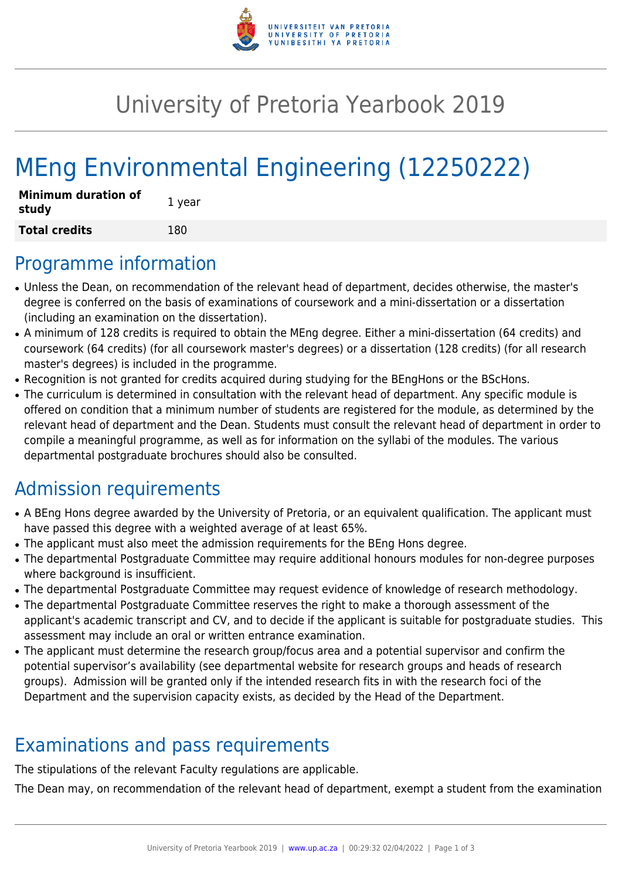

## University of Pretoria Yearbook 2019

# MEng Environmental Engineering (12250222)

| <b>Minimum duration of</b><br>study | 1 year |
|-------------------------------------|--------|
| <b>Total credits</b>                | 180    |

#### Programme information

- Unless the Dean, on recommendation of the relevant head of department, decides otherwise, the master's degree is conferred on the basis of examinations of coursework and a mini-dissertation or a dissertation (including an examination on the dissertation).
- A minimum of 128 credits is required to obtain the MEng degree. Either a mini-dissertation (64 credits) and coursework (64 credits) (for all coursework master's degrees) or a dissertation (128 credits) (for all research master's degrees) is included in the programme.
- Recognition is not granted for credits acquired during studying for the BEngHons or the BScHons.
- The curriculum is determined in consultation with the relevant head of department. Any specific module is offered on condition that a minimum number of students are registered for the module, as determined by the relevant head of department and the Dean. Students must consult the relevant head of department in order to compile a meaningful programme, as well as for information on the syllabi of the modules. The various departmental postgraduate brochures should also be consulted.

## Admission requirements

- A BEng Hons degree awarded by the University of Pretoria, or an equivalent qualification. The applicant must have passed this degree with a weighted average of at least 65%.
- The applicant must also meet the admission requirements for the BEng Hons degree.
- The departmental Postgraduate Committee may require additional honours modules for non-degree purposes where background is insufficient.
- The departmental Postgraduate Committee may request evidence of knowledge of research methodology.
- The departmental Postgraduate Committee reserves the right to make a thorough assessment of the applicant's academic transcript and CV, and to decide if the applicant is suitable for postgraduate studies. This assessment may include an oral or written entrance examination.
- The applicant must determine the research group/focus area and a potential supervisor and confirm the potential supervisor's availability (see departmental website for research groups and heads of research groups). Admission will be granted only if the intended research fits in with the research foci of the Department and the supervision capacity exists, as decided by the Head of the Department.

### Examinations and pass requirements

The stipulations of the relevant Faculty regulations are applicable.

The Dean may, on recommendation of the relevant head of department, exempt a student from the examination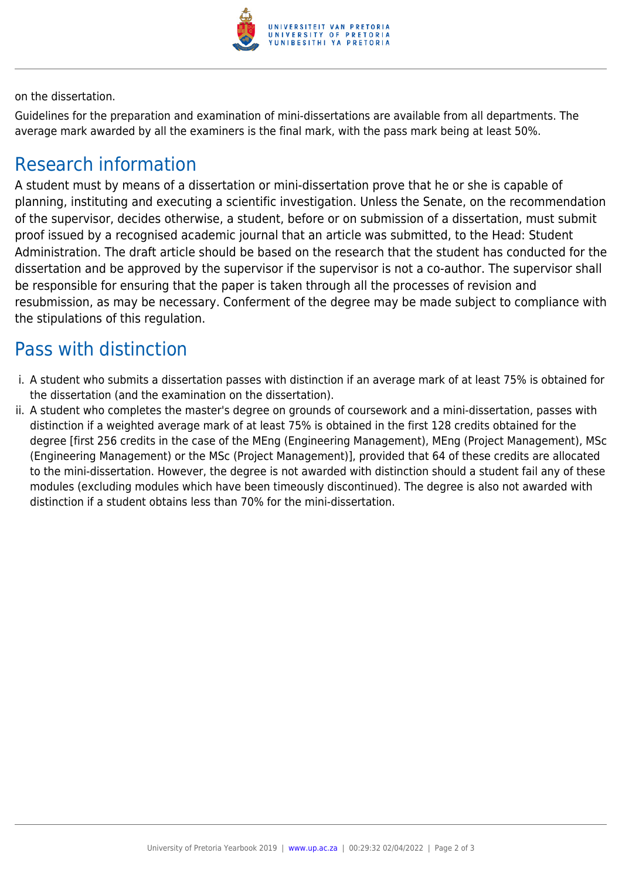

on the dissertation.

Guidelines for the preparation and examination of mini-dissertations are available from all departments. The average mark awarded by all the examiners is the final mark, with the pass mark being at least 50%.

#### Research information

A student must by means of a dissertation or mini-dissertation prove that he or she is capable of planning, instituting and executing a scientific investigation. Unless the Senate, on the recommendation of the supervisor, decides otherwise, a student, before or on submission of a dissertation, must submit proof issued by a recognised academic journal that an article was submitted, to the Head: Student Administration. The draft article should be based on the research that the student has conducted for the dissertation and be approved by the supervisor if the supervisor is not a co-author. The supervisor shall be responsible for ensuring that the paper is taken through all the processes of revision and resubmission, as may be necessary. Conferment of the degree may be made subject to compliance with the stipulations of this regulation.

#### Pass with distinction

- i. A student who submits a dissertation passes with distinction if an average mark of at least 75% is obtained for the dissertation (and the examination on the dissertation).
- ii. A student who completes the master's degree on grounds of coursework and a mini-dissertation, passes with distinction if a weighted average mark of at least 75% is obtained in the first 128 credits obtained for the degree [first 256 credits in the case of the MEng (Engineering Management), MEng (Project Management), MSc (Engineering Management) or the MSc (Project Management)], provided that 64 of these credits are allocated to the mini-dissertation. However, the degree is not awarded with distinction should a student fail any of these modules (excluding modules which have been timeously discontinued). The degree is also not awarded with distinction if a student obtains less than 70% for the mini-dissertation.